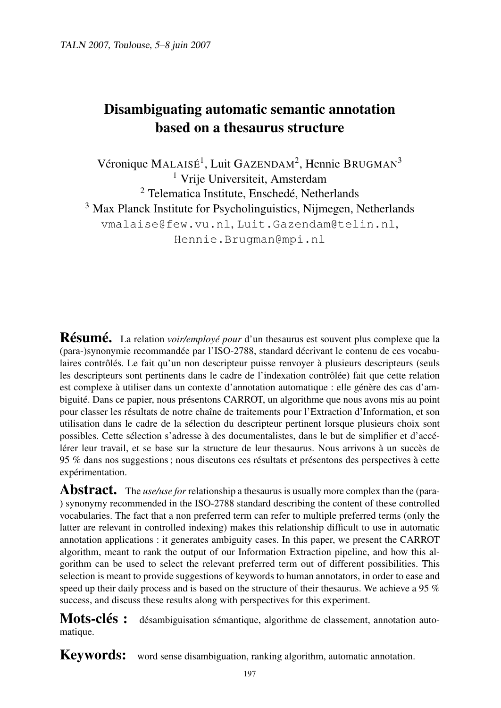# Disambiguating automatic semantic annotation based on a thesaurus structure

Véronique MALAISÉ<sup>1</sup>, Luit GAZENDAM<sup>2</sup>, Hennie BRUGMAN<sup>3</sup> <sup>1</sup> Vrije Universiteit, Amsterdam <sup>2</sup> Telematica Institute, Enschedé, Netherlands <sup>3</sup> Max Planck Institute for Psycholinguistics, Nijmegen, Netherlands vmalaise@few.vu.nl, Luit.Gazendam@telin.nl, Hennie.Brugman@mpi.nl

Résumé. La relation *voir/employé pour* d'un thesaurus est souvent plus complexe que la (para-)synonymie recommandée par l'ISO-2788, standard décrivant le contenu de ces vocabulaires contrôlés. Le fait qu'un non descripteur puisse renvoyer à plusieurs descripteurs (seuls les descripteurs sont pertinents dans le cadre de l'indexation contrôlée) fait que cette relation est complexe à utiliser dans un contexte d'annotation automatique : elle génère des cas d'ambiguité. Dans ce papier, nous présentons CARROT, un algorithme que nous avons mis au point pour classer les résultats de notre chaîne de traitements pour l'Extraction d'Information, et son utilisation dans le cadre de la sélection du descripteur pertinent lorsque plusieurs choix sont possibles. Cette sélection s'adresse à des documentalistes, dans le but de simplifier et d'accélérer leur travail, et se base sur la structure de leur thesaurus. Nous arrivons à un succès de 95 % dans nos suggestions ; nous discutons ces résultats et présentons des perspectives à cette expérimentation.

Abstract. The *use/use for* relationship a thesaurus is usually more complex than the (para-) synonymy recommended in the ISO-2788 standard describing the content of these controlled vocabularies. The fact that a non preferred term can refer to multiple preferred terms (only the latter are relevant in controlled indexing) makes this relationship difficult to use in automatic annotation applications : it generates ambiguity cases. In this paper, we present the CARROT algorithm, meant to rank the output of our Information Extraction pipeline, and how this algorithm can be used to select the relevant preferred term out of different possibilities. This selection is meant to provide suggestions of keywords to human annotators, in order to ease and speed up their daily process and is based on the structure of their thesaurus. We achieve a 95 % success, and discuss these results along with perspectives for this experiment.

Mots-clés : désambiguisation sémantique, algorithme de classement, annotation automatique.

Keywords: word sense disambiguation, ranking algorithm, automatic annotation.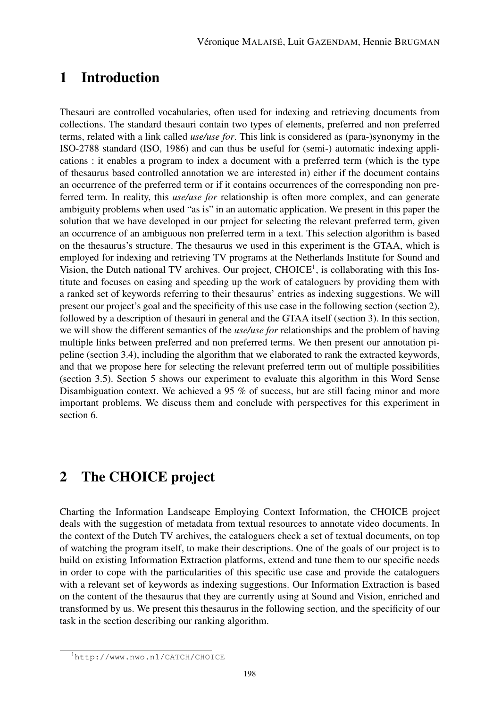## 1 Introduction

Thesauri are controlled vocabularies, often used for indexing and retrieving documents from collections. The standard thesauri contain two types of elements, preferred and non preferred terms, related with a link called *use/use for*. This link is considered as (para-)synonymy in the ISO-2788 standard (ISO, 1986) and can thus be useful for (semi-) automatic indexing applications : it enables a program to index a document with a preferred term (which is the type of thesaurus based controlled annotation we are interested in) either if the document contains an occurrence of the preferred term or if it contains occurrences of the corresponding non preferred term. In reality, this *use/use for* relationship is often more complex, and can generate ambiguity problems when used "as is" in an automatic application. We present in this paper the solution that we have developed in our project for selecting the relevant preferred term, given an occurrence of an ambiguous non preferred term in a text. This selection algorithm is based on the thesaurus's structure. The thesaurus we used in this experiment is the GTAA, which is employed for indexing and retrieving TV programs at the Netherlands Institute for Sound and Vision, the Dutch national TV archives. Our project,  $CHOICE<sup>1</sup>$ , is collaborating with this Institute and focuses on easing and speeding up the work of cataloguers by providing them with a ranked set of keywords referring to their thesaurus' entries as indexing suggestions. We will present our project's goal and the specificity of this use case in the following section (section 2), followed by a description of thesauri in general and the GTAA itself (section 3). In this section, we will show the different semantics of the *use/use for* relationships and the problem of having multiple links between preferred and non preferred terms. We then present our annotation pipeline (section 3.4), including the algorithm that we elaborated to rank the extracted keywords, and that we propose here for selecting the relevant preferred term out of multiple possibilities (section 3.5). Section 5 shows our experiment to evaluate this algorithm in this Word Sense Disambiguation context. We achieved a 95 % of success, but are still facing minor and more important problems. We discuss them and conclude with perspectives for this experiment in section 6.

## 2 The CHOICE project

Charting the Information Landscape Employing Context Information, the CHOICE project deals with the suggestion of metadata from textual resources to annotate video documents. In the context of the Dutch TV archives, the cataloguers check a set of textual documents, on top of watching the program itself, to make their descriptions. One of the goals of our project is to build on existing Information Extraction platforms, extend and tune them to our specific needs in order to cope with the particularities of this specific use case and provide the cataloguers with a relevant set of keywords as indexing suggestions. Our Information Extraction is based on the content of the thesaurus that they are currently using at Sound and Vision, enriched and transformed by us. We present this thesaurus in the following section, and the specificity of our task in the section describing our ranking algorithm.

<sup>1</sup>http://www.nwo.nl/CATCH/CHOICE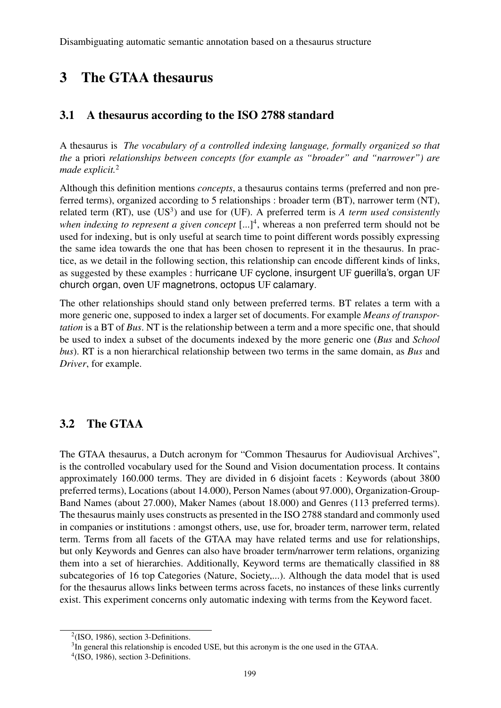# 3 The GTAA thesaurus

#### 3.1 A thesaurus according to the ISO 2788 standard

A thesaurus is *The vocabulary of a controlled indexing language, formally organized so that the* a priori *relationships between concepts (for example as "broader" and "narrower") are made explicit.*<sup>2</sup>

Although this definition mentions *concepts*, a thesaurus contains terms (preferred and non preferred terms), organized according to 5 relationships : broader term (BT), narrower term (NT), related term  $(RT)$ , use  $(US^3)$  and use for  $(UF)$ . A preferred term is *A term used consistently when indexing to represent a given concept*  $[...]^4$ , whereas a non preferred term should not be used for indexing, but is only useful at search time to point different words possibly expressing the same idea towards the one that has been chosen to represent it in the thesaurus. In practice, as we detail in the following section, this relationship can encode different kinds of links, as suggested by these examples : hurricane UF cyclone, insurgent UF guerilla's, organ UF church organ, oven UF magnetrons, octopus UF calamary.

The other relationships should stand only between preferred terms. BT relates a term with a more generic one, supposed to index a larger set of documents. For example *Means of transportation* is a BT of *Bus*. NT is the relationship between a term and a more specific one, that should be used to index a subset of the documents indexed by the more generic one (*Bus* and *School bus*). RT is a non hierarchical relationship between two terms in the same domain, as *Bus* and *Driver*, for example.

### 3.2 The GTAA

The GTAA thesaurus, a Dutch acronym for "Common Thesaurus for Audiovisual Archives", is the controlled vocabulary used for the Sound and Vision documentation process. It contains approximately 160.000 terms. They are divided in 6 disjoint facets : Keywords (about 3800 preferred terms), Locations (about 14.000), Person Names (about 97.000), Organization-Group-Band Names (about 27.000), Maker Names (about 18.000) and Genres (113 preferred terms). The thesaurus mainly uses constructs as presented in the ISO 2788 standard and commonly used in companies or institutions : amongst others, use, use for, broader term, narrower term, related term. Terms from all facets of the GTAA may have related terms and use for relationships, but only Keywords and Genres can also have broader term/narrower term relations, organizing them into a set of hierarchies. Additionally, Keyword terms are thematically classified in 88 subcategories of 16 top Categories (Nature, Society,...). Although the data model that is used for the thesaurus allows links between terms across facets, no instances of these links currently exist. This experiment concerns only automatic indexing with terms from the Keyword facet.

 $2$ (ISO, 1986), section 3-Definitions.

<sup>&</sup>lt;sup>3</sup>In general this relationship is encoded USE, but this acronym is the one used in the GTAA.

 $4$ (ISO, 1986), section 3-Definitions.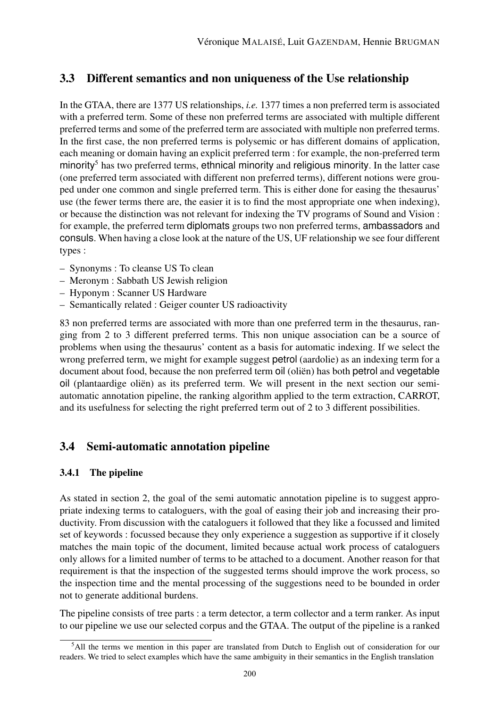### 3.3 Different semantics and non uniqueness of the Use relationship

In the GTAA, there are 1377 US relationships, *i.e.* 1377 times a non preferred term is associated with a preferred term. Some of these non preferred terms are associated with multiple different preferred terms and some of the preferred term are associated with multiple non preferred terms. In the first case, the non preferred terms is polysemic or has different domains of application, each meaning or domain having an explicit preferred term : for example, the non-preferred term minority $<sup>5</sup>$  has two preferred terms, ethnical minority and religious minority. In the latter case</sup> (one preferred term associated with different non preferred terms), different notions were grouped under one common and single preferred term. This is either done for easing the thesaurus' use (the fewer terms there are, the easier it is to find the most appropriate one when indexing), or because the distinction was not relevant for indexing the TV programs of Sound and Vision : for example, the preferred term diplomats groups two non preferred terms, ambassadors and consuls. When having a close look at the nature of the US, UF relationship we see four different types :

- Synonyms : To cleanse US To clean
- Meronym : Sabbath US Jewish religion
- Hyponym : Scanner US Hardware
- Semantically related : Geiger counter US radioactivity

83 non preferred terms are associated with more than one preferred term in the thesaurus, ranging from 2 to 3 different preferred terms. This non unique association can be a source of problems when using the thesaurus' content as a basis for automatic indexing. If we select the wrong preferred term, we might for example suggest petrol (aardolie) as an indexing term for a document about food, because the non preferred term oil (oliën) has both petrol and vegetable oil (plantaardige oliën) as its preferred term. We will present in the next section our semiautomatic annotation pipeline, the ranking algorithm applied to the term extraction, CARROT, and its usefulness for selecting the right preferred term out of 2 to 3 different possibilities.

### 3.4 Semi-automatic annotation pipeline

#### 3.4.1 The pipeline

As stated in section 2, the goal of the semi automatic annotation pipeline is to suggest appropriate indexing terms to cataloguers, with the goal of easing their job and increasing their productivity. From discussion with the cataloguers it followed that they like a focussed and limited set of keywords : focussed because they only experience a suggestion as supportive if it closely matches the main topic of the document, limited because actual work process of cataloguers only allows for a limited number of terms to be attached to a document. Another reason for that requirement is that the inspection of the suggested terms should improve the work process, so the inspection time and the mental processing of the suggestions need to be bounded in order not to generate additional burdens.

The pipeline consists of tree parts : a term detector, a term collector and a term ranker. As input to our pipeline we use our selected corpus and the GTAA. The output of the pipeline is a ranked

<sup>5</sup>All the terms we mention in this paper are translated from Dutch to English out of consideration for our readers. We tried to select examples which have the same ambiguity in their semantics in the English translation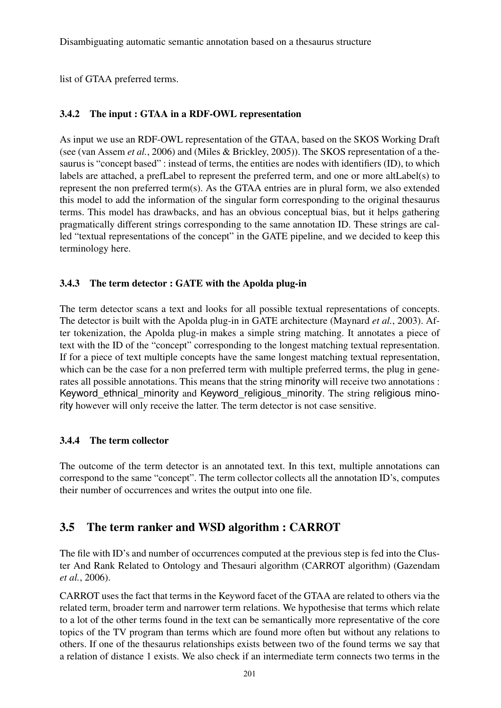Disambiguating automatic semantic annotation based on a thesaurus structure

list of GTAA preferred terms.

#### 3.4.2 The input : GTAA in a RDF-OWL representation

As input we use an RDF-OWL representation of the GTAA, based on the SKOS Working Draft (see (van Assem *et al.*, 2006) and (Miles & Brickley, 2005)). The SKOS representation of a thesaurus is "concept based" : instead of terms, the entities are nodes with identifiers (ID), to which labels are attached, a prefLabel to represent the preferred term, and one or more altLabel(s) to represent the non preferred term(s). As the GTAA entries are in plural form, we also extended this model to add the information of the singular form corresponding to the original thesaurus terms. This model has drawbacks, and has an obvious conceptual bias, but it helps gathering pragmatically different strings corresponding to the same annotation ID. These strings are called "textual representations of the concept" in the GATE pipeline, and we decided to keep this terminology here.

#### 3.4.3 The term detector : GATE with the Apolda plug-in

The term detector scans a text and looks for all possible textual representations of concepts. The detector is built with the Apolda plug-in in GATE architecture (Maynard *et al.*, 2003). After tokenization, the Apolda plug-in makes a simple string matching. It annotates a piece of text with the ID of the "concept" corresponding to the longest matching textual representation. If for a piece of text multiple concepts have the same longest matching textual representation, which can be the case for a non preferred term with multiple preferred terms, the plug in generates all possible annotations. This means that the string minority will receive two annotations : Keyword ethnical minority and Keyword religious minority. The string religious minority however will only receive the latter. The term detector is not case sensitive.

#### 3.4.4 The term collector

The outcome of the term detector is an annotated text. In this text, multiple annotations can correspond to the same "concept". The term collector collects all the annotation ID's, computes their number of occurrences and writes the output into one file.

### 3.5 The term ranker and WSD algorithm : CARROT

The file with ID's and number of occurrences computed at the previous step is fed into the Cluster And Rank Related to Ontology and Thesauri algorithm (CARROT algorithm) (Gazendam *et al.*, 2006).

CARROT uses the fact that terms in the Keyword facet of the GTAA are related to others via the related term, broader term and narrower term relations. We hypothesise that terms which relate to a lot of the other terms found in the text can be semantically more representative of the core topics of the TV program than terms which are found more often but without any relations to others. If one of the thesaurus relationships exists between two of the found terms we say that a relation of distance 1 exists. We also check if an intermediate term connects two terms in the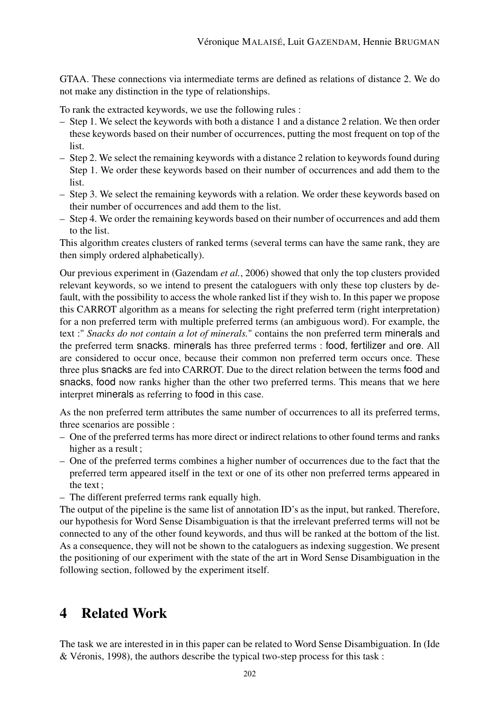GTAA. These connections via intermediate terms are defined as relations of distance 2. We do not make any distinction in the type of relationships.

To rank the extracted keywords, we use the following rules :

- Step 1. We select the keywords with both a distance 1 and a distance 2 relation. We then order these keywords based on their number of occurrences, putting the most frequent on top of the list.
- Step 2. We select the remaining keywords with a distance 2 relation to keywords found during Step 1. We order these keywords based on their number of occurrences and add them to the list.
- Step 3. We select the remaining keywords with a relation. We order these keywords based on their number of occurrences and add them to the list.
- Step 4. We order the remaining keywords based on their number of occurrences and add them to the list.

This algorithm creates clusters of ranked terms (several terms can have the same rank, they are then simply ordered alphabetically).

Our previous experiment in (Gazendam *et al.*, 2006) showed that only the top clusters provided relevant keywords, so we intend to present the cataloguers with only these top clusters by default, with the possibility to access the whole ranked list if they wish to. In this paper we propose this CARROT algorithm as a means for selecting the right preferred term (right interpretation) for a non preferred term with multiple preferred terms (an ambiguous word). For example, the text :" *Snacks do not contain a lot of minerals.*" contains the non preferred term minerals and the preferred term snacks. minerals has three preferred terms : food, fertilizer and ore. All are considered to occur once, because their common non preferred term occurs once. These three plus snacks are fed into CARROT. Due to the direct relation between the terms food and snacks, food now ranks higher than the other two preferred terms. This means that we here interpret minerals as referring to food in this case.

As the non preferred term attributes the same number of occurrences to all its preferred terms, three scenarios are possible :

- One of the preferred terms has more direct or indirect relations to other found terms and ranks higher as a result ;
- One of the preferred terms combines a higher number of occurrences due to the fact that the preferred term appeared itself in the text or one of its other non preferred terms appeared in the text ;
- The different preferred terms rank equally high.

The output of the pipeline is the same list of annotation ID's as the input, but ranked. Therefore, our hypothesis for Word Sense Disambiguation is that the irrelevant preferred terms will not be connected to any of the other found keywords, and thus will be ranked at the bottom of the list. As a consequence, they will not be shown to the cataloguers as indexing suggestion. We present the positioning of our experiment with the state of the art in Word Sense Disambiguation in the following section, followed by the experiment itself.

## 4 Related Work

The task we are interested in in this paper can be related to Word Sense Disambiguation. In (Ide & Véronis, 1998), the authors describe the typical two-step process for this task :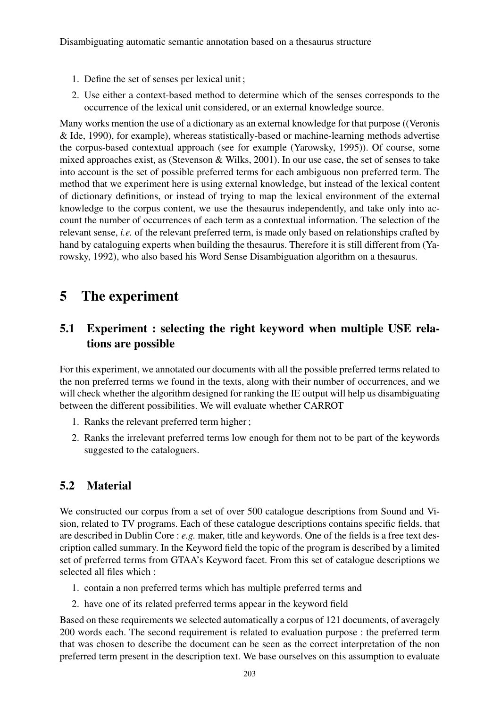- 1. Define the set of senses per lexical unit ;
- 2. Use either a context-based method to determine which of the senses corresponds to the occurrence of the lexical unit considered, or an external knowledge source.

Many works mention the use of a dictionary as an external knowledge for that purpose ((Veronis & Ide, 1990), for example), whereas statistically-based or machine-learning methods advertise the corpus-based contextual approach (see for example (Yarowsky, 1995)). Of course, some mixed approaches exist, as (Stevenson & Wilks, 2001). In our use case, the set of senses to take into account is the set of possible preferred terms for each ambiguous non preferred term. The method that we experiment here is using external knowledge, but instead of the lexical content of dictionary definitions, or instead of trying to map the lexical environment of the external knowledge to the corpus content, we use the thesaurus independently, and take only into account the number of occurrences of each term as a contextual information. The selection of the relevant sense, *i.e.* of the relevant preferred term, is made only based on relationships crafted by hand by cataloguing experts when building the thesaurus. Therefore it is still different from (Yarowsky, 1992), who also based his Word Sense Disambiguation algorithm on a thesaurus.

# 5 The experiment

## 5.1 Experiment : selecting the right keyword when multiple USE relations are possible

For this experiment, we annotated our documents with all the possible preferred terms related to the non preferred terms we found in the texts, along with their number of occurrences, and we will check whether the algorithm designed for ranking the IE output will help us disambiguating between the different possibilities. We will evaluate whether CARROT

- 1. Ranks the relevant preferred term higher ;
- 2. Ranks the irrelevant preferred terms low enough for them not to be part of the keywords suggested to the cataloguers.

### 5.2 Material

We constructed our corpus from a set of over 500 catalogue descriptions from Sound and Vision, related to TV programs. Each of these catalogue descriptions contains specific fields, that are described in Dublin Core : *e.g.* maker, title and keywords. One of the fields is a free text description called summary. In the Keyword field the topic of the program is described by a limited set of preferred terms from GTAA's Keyword facet. From this set of catalogue descriptions we selected all files which :

- 1. contain a non preferred terms which has multiple preferred terms and
- 2. have one of its related preferred terms appear in the keyword field

Based on these requirements we selected automatically a corpus of 121 documents, of averagely 200 words each. The second requirement is related to evaluation purpose : the preferred term that was chosen to describe the document can be seen as the correct interpretation of the non preferred term present in the description text. We base ourselves on this assumption to evaluate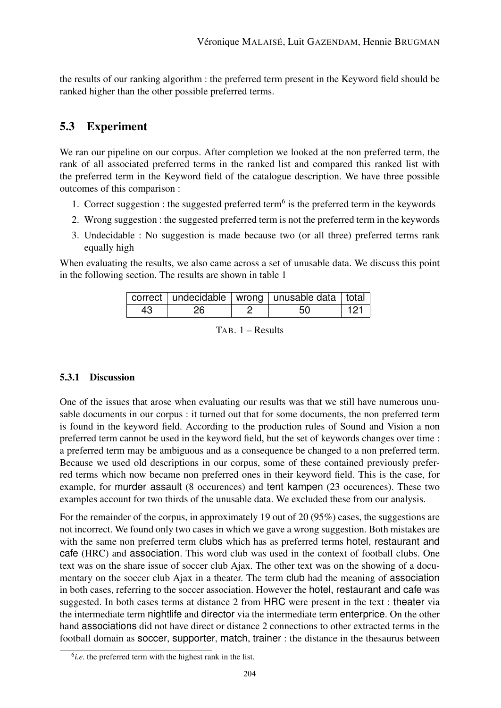the results of our ranking algorithm : the preferred term present in the Keyword field should be ranked higher than the other possible preferred terms.

### 5.3 Experiment

We ran our pipeline on our corpus. After completion we looked at the non preferred term, the rank of all associated preferred terms in the ranked list and compared this ranked list with the preferred term in the Keyword field of the catalogue description. We have three possible outcomes of this comparison :

- 1. Correct suggestion : the suggested preferred term<sup>6</sup> is the preferred term in the keywords
- 2. Wrong suggestion : the suggested preferred term is not the preferred term in the keywords
- 3. Undecidable : No suggestion is made because two (or all three) preferred terms rank equally high

When evaluating the results, we also came across a set of unusable data. We discuss this point in the following section. The results are shown in table 1

|    |    | correct   undecidable   wrong   unusable data   total |     |
|----|----|-------------------------------------------------------|-----|
| 43 | 26 | 50                                                    | 121 |

TAB. 1 – Results

#### 5.3.1 Discussion

One of the issues that arose when evaluating our results was that we still have numerous unusable documents in our corpus : it turned out that for some documents, the non preferred term is found in the keyword field. According to the production rules of Sound and Vision a non preferred term cannot be used in the keyword field, but the set of keywords changes over time : a preferred term may be ambiguous and as a consequence be changed to a non preferred term. Because we used old descriptions in our corpus, some of these contained previously preferred terms which now became non preferred ones in their keyword field. This is the case, for example, for murder assault (8 occurences) and tent kampen (23 occurences). These two examples account for two thirds of the unusable data. We excluded these from our analysis.

For the remainder of the corpus, in approximately 19 out of 20 (95%) cases, the suggestions are not incorrect. We found only two cases in which we gave a wrong suggestion. Both mistakes are with the same non preferred term clubs which has as preferred terms hotel, restaurant and cafe (HRC) and association. This word club was used in the context of football clubs. One text was on the share issue of soccer club Ajax. The other text was on the showing of a documentary on the soccer club Ajax in a theater. The term club had the meaning of association in both cases, referring to the soccer association. However the hotel, restaurant and cafe was suggested. In both cases terms at distance 2 from HRC were present in the text : theater via the intermediate term nightlife and director via the intermediate term enterprice. On the other hand associations did not have direct or distance 2 connections to other extracted terms in the football domain as soccer, supporter, match, trainer : the distance in the thesaurus between

 $<sup>6</sup>i.e.$  the preferred term with the highest rank in the list.</sup>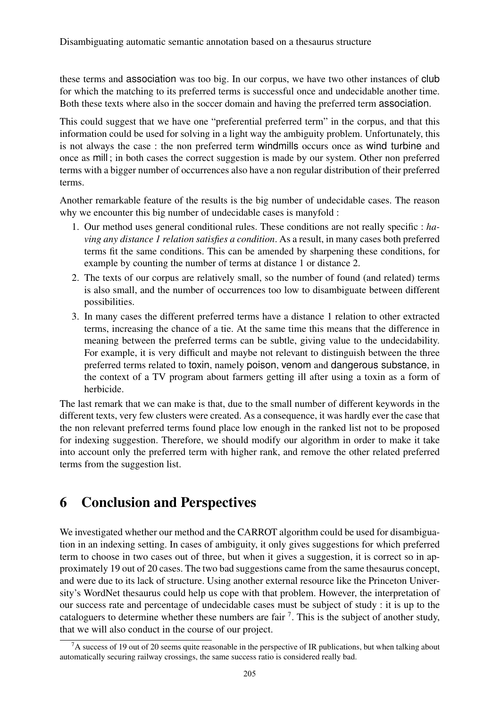these terms and association was too big. In our corpus, we have two other instances of club for which the matching to its preferred terms is successful once and undecidable another time. Both these texts where also in the soccer domain and having the preferred term association.

This could suggest that we have one "preferential preferred term" in the corpus, and that this information could be used for solving in a light way the ambiguity problem. Unfortunately, this is not always the case : the non preferred term windmills occurs once as wind turbine and once as mill ; in both cases the correct suggestion is made by our system. Other non preferred terms with a bigger number of occurrences also have a non regular distribution of their preferred terms.

Another remarkable feature of the results is the big number of undecidable cases. The reason why we encounter this big number of undecidable cases is manyfold :

- 1. Our method uses general conditional rules. These conditions are not really specific : *having any distance 1 relation satisfies a condition*. As a result, in many cases both preferred terms fit the same conditions. This can be amended by sharpening these conditions, for example by counting the number of terms at distance 1 or distance 2.
- 2. The texts of our corpus are relatively small, so the number of found (and related) terms is also small, and the number of occurrences too low to disambiguate between different possibilities.
- 3. In many cases the different preferred terms have a distance 1 relation to other extracted terms, increasing the chance of a tie. At the same time this means that the difference in meaning between the preferred terms can be subtle, giving value to the undecidability. For example, it is very difficult and maybe not relevant to distinguish between the three preferred terms related to toxin, namely poison, venom and dangerous substance, in the context of a TV program about farmers getting ill after using a toxin as a form of herbicide.

The last remark that we can make is that, due to the small number of different keywords in the different texts, very few clusters were created. As a consequence, it was hardly ever the case that the non relevant preferred terms found place low enough in the ranked list not to be proposed for indexing suggestion. Therefore, we should modify our algorithm in order to make it take into account only the preferred term with higher rank, and remove the other related preferred terms from the suggestion list.

# 6 Conclusion and Perspectives

We investigated whether our method and the CARROT algorithm could be used for disambiguation in an indexing setting. In cases of ambiguity, it only gives suggestions for which preferred term to choose in two cases out of three, but when it gives a suggestion, it is correct so in approximately 19 out of 20 cases. The two bad suggestions came from the same thesaurus concept, and were due to its lack of structure. Using another external resource like the Princeton University's WordNet thesaurus could help us cope with that problem. However, the interpretation of our success rate and percentage of undecidable cases must be subject of study : it is up to the cataloguers to determine whether these numbers are fair <sup>7</sup>. This is the subject of another study, that we will also conduct in the course of our project.

<sup>&</sup>lt;sup>7</sup>A success of 19 out of 20 seems quite reasonable in the perspective of IR publications, but when talking about automatically securing railway crossings, the same success ratio is considered really bad.